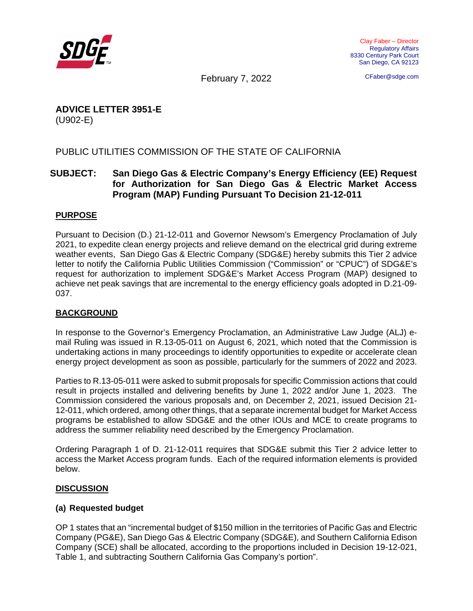

CFaber@sdge.com

February 7, 2022

# **ADVICE LETTER 3951-E**  (U902-E)

# PUBLIC UTILITIES COMMISSION OF THE STATE OF CALIFORNIA

# **SUBJECT: San Diego Gas & Electric Company's Energy Efficiency (EE) Request for Authorization for San Diego Gas & Electric Market Access Program (MAP) Funding Pursuant To Decision 21-12-011**

### **PURPOSE**

Pursuant to Decision (D.) 21-12-011 and Governor Newsom's Emergency Proclamation of July 2021, to expedite clean energy projects and relieve demand on the electrical grid during extreme weather events, San Diego Gas & Electric Company (SDG&E) hereby submits this Tier 2 advice letter to notify the California Public Utilities Commission ("Commission" or "CPUC") of SDG&E's request for authorization to implement SDG&E's Market Access Program (MAP) designed to achieve net peak savings that are incremental to the energy efficiency goals adopted in D.21-09- 037.

#### **BACKGROUND**

In response to the Governor's Emergency Proclamation, an Administrative Law Judge (ALJ) email Ruling was issued in R.13-05-011 on August 6, 2021, which noted that the Commission is undertaking actions in many proceedings to identify opportunities to expedite or accelerate clean energy project development as soon as possible, particularly for the summers of 2022 and 2023.

Parties to R.13-05-011 were asked to submit proposals for specific Commission actions that could result in projects installed and delivering benefits by June 1, 2022 and/or June 1, 2023. The Commission considered the various proposals and, on December 2, 2021, issued Decision 21- 12-011, which ordered, among other things, that a separate incremental budget for Market Access programs be established to allow SDG&E and the other IOUs and MCE to create programs to address the summer reliability need described by the Emergency Proclamation.

Ordering Paragraph 1 of D. 21-12-011 requires that SDG&E submit this Tier 2 advice letter to access the Market Access program funds. Each of the required information elements is provided below.

#### **DISCUSSION**

#### **(a) Requested budget**

OP 1 states that an "incremental budget of \$150 million in the territories of Pacific Gas and Electric Company (PG&E), San Diego Gas & Electric Company (SDG&E), and Southern California Edison Company (SCE) shall be allocated, according to the proportions included in Decision 19-12-021, Table 1, and subtracting Southern California Gas Company's portion".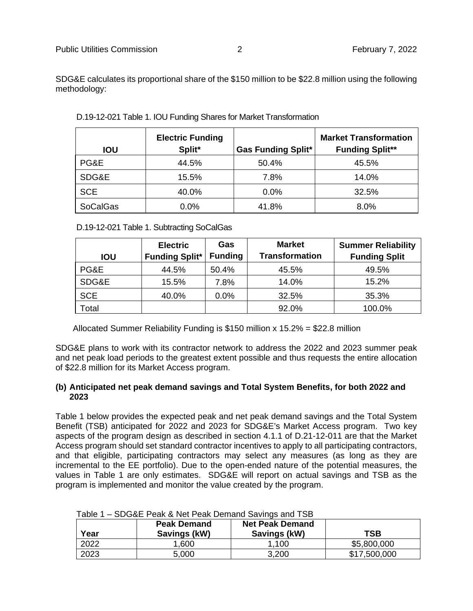SDG&E calculates its proportional share of the \$150 million to be \$22.8 million using the following methodology:

| <b>IOU</b>      | <b>Electric Funding</b><br>Split* | <b>Gas Funding Split*</b> | <b>Market Transformation</b><br><b>Funding Split**</b> |
|-----------------|-----------------------------------|---------------------------|--------------------------------------------------------|
| PG&E            | 44.5%                             | 50.4%                     | 45.5%                                                  |
| SDG&E           | 15.5%                             | 7.8%                      | 14.0%                                                  |
| <b>SCE</b>      | 40.0%                             | 0.0%                      | 32.5%                                                  |
| <b>SoCalGas</b> | $0.0\%$                           | 41.8%                     | 8.0%                                                   |

D.19-12-021 Table 1. IOU Funding Shares for Market Transformation

D.19-12-021 Table 1. Subtracting SoCalGas

|            | <b>Electric</b>       | Gas            | <b>Market</b>         | <b>Summer Reliability</b> |
|------------|-----------------------|----------------|-----------------------|---------------------------|
| <b>IOU</b> | <b>Funding Split*</b> | <b>Funding</b> | <b>Transformation</b> | <b>Funding Split</b>      |
| PG&E       | 44.5%                 | 50.4%          | 45.5%                 | 49.5%                     |
| SDG&E      | 15.5%                 | 7.8%           | 14.0%                 | 15.2%                     |
| <b>SCE</b> | 40.0%                 | 0.0%           | 32.5%                 | 35.3%                     |
| Total      |                       |                | 92.0%                 | 100.0%                    |

Allocated Summer Reliability Funding is \$150 million x 15.2% = \$22.8 million

SDG&E plans to work with its contractor network to address the 2022 and 2023 summer peak and net peak load periods to the greatest extent possible and thus requests the entire allocation of \$22.8 million for its Market Access program.

#### **(b) Anticipated net peak demand savings and Total System Benefits, for both 2022 and 2023**

Table 1 below provides the expected peak and net peak demand savings and the Total System Benefit (TSB) anticipated for 2022 and 2023 for SDG&E's Market Access program. Two key aspects of the program design as described in section 4.1.1 of D.21-12-011 are that the Market Access program should set standard contractor incentives to apply to all participating contractors, and that eligible, participating contractors may select any measures (as long as they are incremental to the EE portfolio). Due to the open-ended nature of the potential measures, the values in Table 1 are only estimates. SDG&E will report on actual savings and TSB as the program is implemented and monitor the value created by the program.

| Year | <b>Peak Demand</b><br>Savings (kW) | <b>Net Peak Demand</b><br>Savings (kW) | TSB          |
|------|------------------------------------|----------------------------------------|--------------|
| 2022 | 1,600                              | .100                                   | \$5,800,000  |
| 2023 | 5,000                              | 3,200                                  | \$17,500,000 |

# Table 1 – SDG&E Peak & Net Peak Demand Savings and TSB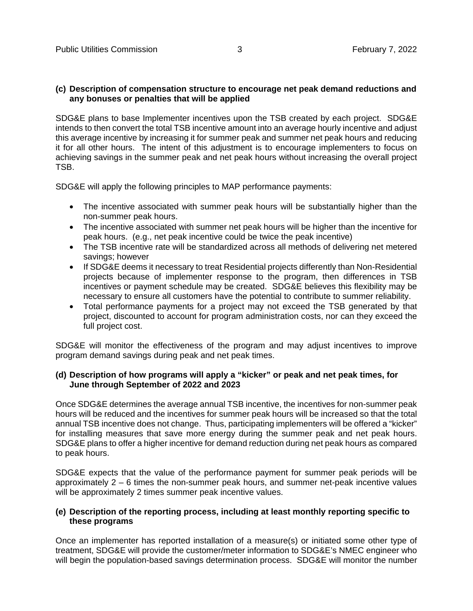#### **(c) Description of compensation structure to encourage net peak demand reductions and any bonuses or penalties that will be applied**

SDG&E plans to base Implementer incentives upon the TSB created by each project. SDG&E intends to then convert the total TSB incentive amount into an average hourly incentive and adjust this average incentive by increasing it for summer peak and summer net peak hours and reducing it for all other hours. The intent of this adjustment is to encourage implementers to focus on achieving savings in the summer peak and net peak hours without increasing the overall project TSB.

SDG&E will apply the following principles to MAP performance payments:

- The incentive associated with summer peak hours will be substantially higher than the non-summer peak hours.
- The incentive associated with summer net peak hours will be higher than the incentive for peak hours. (e.g., net peak incentive could be twice the peak incentive)
- The TSB incentive rate will be standardized across all methods of delivering net metered savings; however
- If SDG&E deems it necessary to treat Residential projects differently than Non-Residential projects because of implementer response to the program, then differences in TSB incentives or payment schedule may be created. SDG&E believes this flexibility may be necessary to ensure all customers have the potential to contribute to summer reliability.
- Total performance payments for a project may not exceed the TSB generated by that project, discounted to account for program administration costs, nor can they exceed the full project cost.

SDG&E will monitor the effectiveness of the program and may adjust incentives to improve program demand savings during peak and net peak times.

#### **(d) Description of how programs will apply a "kicker" or peak and net peak times, for June through September of 2022 and 2023**

Once SDG&E determines the average annual TSB incentive, the incentives for non-summer peak hours will be reduced and the incentives for summer peak hours will be increased so that the total annual TSB incentive does not change. Thus, participating implementers will be offered a "kicker" for installing measures that save more energy during the summer peak and net peak hours. SDG&E plans to offer a higher incentive for demand reduction during net peak hours as compared to peak hours.

SDG&E expects that the value of the performance payment for summer peak periods will be approximately 2 – 6 times the non-summer peak hours, and summer net-peak incentive values will be approximately 2 times summer peak incentive values.

#### **(e) Description of the reporting process, including at least monthly reporting specific to these programs**

Once an implementer has reported installation of a measure(s) or initiated some other type of treatment, SDG&E will provide the customer/meter information to SDG&E's NMEC engineer who will begin the population-based savings determination process. SDG&E will monitor the number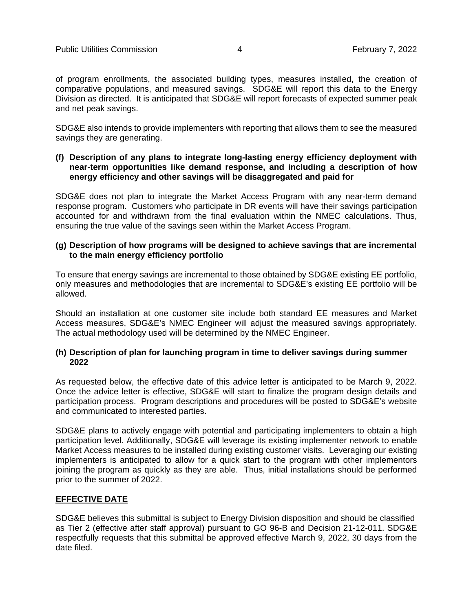of program enrollments, the associated building types, measures installed, the creation of comparative populations, and measured savings. SDG&E will report this data to the Energy Division as directed. It is anticipated that SDG&E will report forecasts of expected summer peak and net peak savings.

SDG&E also intends to provide implementers with reporting that allows them to see the measured savings they are generating.

#### **(f) Description of any plans to integrate long-lasting energy efficiency deployment with near-term opportunities like demand response, and including a description of how energy efficiency and other savings will be disaggregated and paid for**

SDG&E does not plan to integrate the Market Access Program with any near-term demand response program. Customers who participate in DR events will have their savings participation accounted for and withdrawn from the final evaluation within the NMEC calculations. Thus, ensuring the true value of the savings seen within the Market Access Program.

#### **(g) Description of how programs will be designed to achieve savings that are incremental to the main energy efficiency portfolio**

To ensure that energy savings are incremental to those obtained by SDG&E existing EE portfolio, only measures and methodologies that are incremental to SDG&E's existing EE portfolio will be allowed.

Should an installation at one customer site include both standard EE measures and Market Access measures, SDG&E's NMEC Engineer will adjust the measured savings appropriately. The actual methodology used will be determined by the NMEC Engineer.

#### **(h) Description of plan for launching program in time to deliver savings during summer 2022**

As requested below, the effective date of this advice letter is anticipated to be March 9, 2022. Once the advice letter is effective, SDG&E will start to finalize the program design details and participation process. Program descriptions and procedures will be posted to SDG&E's website and communicated to interested parties.

SDG&E plans to actively engage with potential and participating implementers to obtain a high participation level. Additionally, SDG&E will leverage its existing implementer network to enable Market Access measures to be installed during existing customer visits. Leveraging our existing implementers is anticipated to allow for a quick start to the program with other implementors joining the program as quickly as they are able. Thus, initial installations should be performed prior to the summer of 2022.

#### **EFFECTIVE DATE**

SDG&E believes this submittal is subject to Energy Division disposition and should be classified as Tier 2 (effective after staff approval) pursuant to GO 96-B and Decision 21-12-011. SDG&E respectfully requests that this submittal be approved effective March 9, 2022, 30 days from the date filed.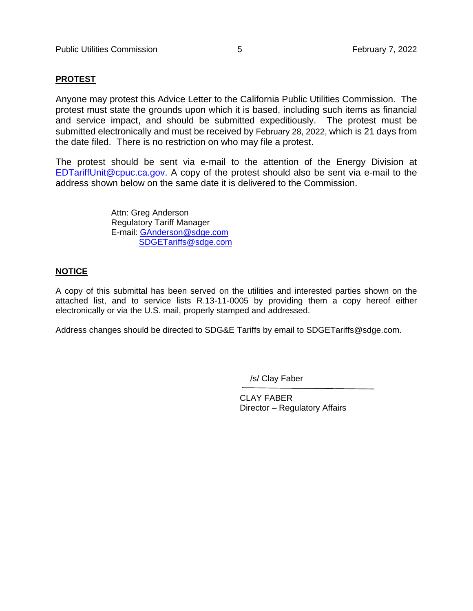#### **PROTEST**

Anyone may protest this Advice Letter to the California Public Utilities Commission. The protest must state the grounds upon which it is based, including such items as financial and service impact, and should be submitted expeditiously. The protest must be submitted electronically and must be received by February 28, 2022, which is 21 days from the date filed. There is no restriction on who may file a protest.

The protest should be sent via e-mail to the attention of the Energy Division at EDTariffUnit@cpuc.ca.gov. A copy of the protest should also be sent via e-mail to the address shown below on the same date it is delivered to the Commission.

> Attn: Greg Anderson Regulatory Tariff Manager E-mail: GAnderson@sdge.com SDGETariffs@sdge.com

#### **NOTICE**

A copy of this submittal has been served on the utilities and interested parties shown on the attached list, and to service lists R.13-11-0005 by providing them a copy hereof either electronically or via the U.S. mail, properly stamped and addressed.

Address changes should be directed to SDG&E Tariffs by email to SDGETariffs@sdge.com.

/s/ Clay Faber

 CLAY FABER Director – Regulatory Affairs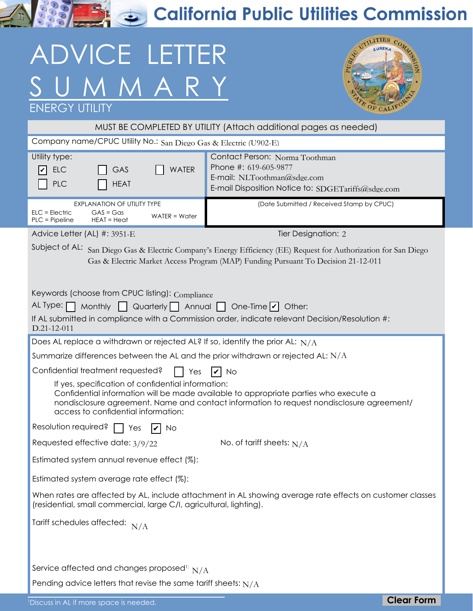**RASHER California Public Utilities Commission** 

# ADVICE LETTER SUMMARY ENERGY



| MUST BE COMPLETED BY UTILITY (Attach additional pages as needed)                                                                                                                                                                                                               |                                                                                                                                              |                   |  |  |
|--------------------------------------------------------------------------------------------------------------------------------------------------------------------------------------------------------------------------------------------------------------------------------|----------------------------------------------------------------------------------------------------------------------------------------------|-------------------|--|--|
| Company name/CPUC Utility No.: San Diego Gas & Electric (U902-E)                                                                                                                                                                                                               |                                                                                                                                              |                   |  |  |
| Utility type:<br><b>WATER</b><br><b>ELC</b><br>GAS<br>V<br><b>PLC</b><br><b>HEAT</b>                                                                                                                                                                                           | Contact Person: Norma Toothman<br>Phone #: 619-605-9877<br>E-mail: NLToothman@sdge.com<br>E-mail Disposition Notice to: SDGETariffs@sdge.com |                   |  |  |
| <b>EXPLANATION OF UTILITY TYPE</b><br>$GAS = Gas$<br>$ELC = Electric$<br>$WATER = Water$<br>PLC = Pipeline<br>$HEAT = Heat$                                                                                                                                                    | (Date Submitted / Received Stamp by CPUC)                                                                                                    |                   |  |  |
| Advice Letter (AL) #: 3951-E                                                                                                                                                                                                                                                   | Tier Designation: 2                                                                                                                          |                   |  |  |
| Subject of AL:<br>San Diego Gas & Electric Company's Energy Efficiency (EE) Request for Authorization for San Diego<br>Gas & Electric Market Access Program (MAP) Funding Pursuant To Decision 21-12-011                                                                       |                                                                                                                                              |                   |  |  |
| Keywords (choose from CPUC listing): Compliance<br>AL Type: [<br>Monthly $\Box$ Quarterly $\Box$ Annual $\Box$ One-Time $ v $ Other:<br>$\blacksquare$                                                                                                                         |                                                                                                                                              |                   |  |  |
| D.21-12-011                                                                                                                                                                                                                                                                    | If AL submitted in compliance with a Commission order, indicate relevant Decision/Resolution #:                                              |                   |  |  |
| Does AL replace a withdrawn or rejected AL? If so, identify the prior AL: $N/A$                                                                                                                                                                                                |                                                                                                                                              |                   |  |  |
| Summarize differences between the AL and the prior withdrawn or rejected AL: $N/A$                                                                                                                                                                                             |                                                                                                                                              |                   |  |  |
| Confidential treatment requested?<br>Yes                                                                                                                                                                                                                                       | IV<br>† No                                                                                                                                   |                   |  |  |
| If yes, specification of confidential information:<br>Confidential information will be made available to appropriate parties who execute a<br>nondisclosure agreement. Name and contact information to request nondisclosure agreement/<br>access to confidential information: |                                                                                                                                              |                   |  |  |
| Resolution required?<br>Yes<br>No                                                                                                                                                                                                                                              |                                                                                                                                              |                   |  |  |
| Requested effective date: 3/9/22                                                                                                                                                                                                                                               | No. of tariff sheets: $N/A$                                                                                                                  |                   |  |  |
| Estimated system annual revenue effect (%):                                                                                                                                                                                                                                    |                                                                                                                                              |                   |  |  |
| Estimated system average rate effect (%):                                                                                                                                                                                                                                      |                                                                                                                                              |                   |  |  |
| When rates are affected by AL, include attachment in AL showing average rate effects on customer classes<br>(residential, small commercial, large C/I, agricultural, lighting).                                                                                                |                                                                                                                                              |                   |  |  |
| Tariff schedules affected: $N/A$                                                                                                                                                                                                                                               |                                                                                                                                              |                   |  |  |
| Service affected and changes proposed <sup>1:</sup> $N/A$<br>Pending advice letters that revise the same tariff sheets: $N/A$                                                                                                                                                  |                                                                                                                                              |                   |  |  |
| <sup>1</sup> Discuss in AL if more space is needed.                                                                                                                                                                                                                            |                                                                                                                                              | <b>Clear Form</b> |  |  |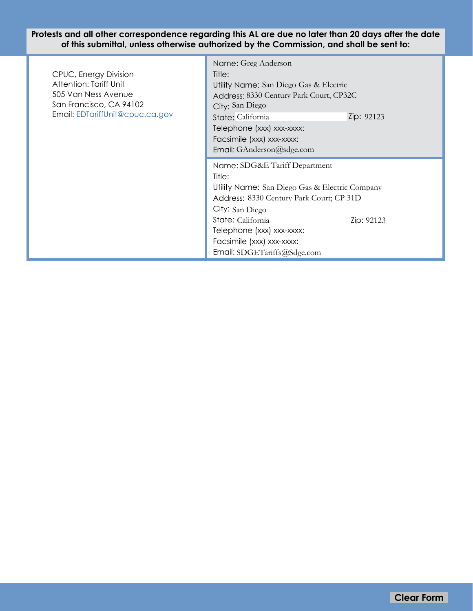**Protests and all other correspondence regarding this AL are due no later than 20 days after the date of this submittal, unless otherwise authorized by the Commission, and shall be sent to:**

۰

| CPUC, Energy Division<br>Attention: Tariff Unit<br>505 Van Ness Avenue<br>San Francisco, CA 94102<br>Email: EDTariffUnit@cpuc.ca.gov | Name: Greg Anderson<br>Title:<br>Utility Name: San Diego Gas & Electric<br>Address: 8330 Century Park Court, CP32C<br>City: San Diego<br>Zip: 92123<br>State: California                                                                                                             |
|--------------------------------------------------------------------------------------------------------------------------------------|--------------------------------------------------------------------------------------------------------------------------------------------------------------------------------------------------------------------------------------------------------------------------------------|
|                                                                                                                                      | Telephone (xxx) xxx-xxxx:<br>Facsimile (xxx) xxx-xxxx:<br>Email: GAnderson@sdge.com                                                                                                                                                                                                  |
|                                                                                                                                      | Name: SDG&E Tariff Department<br>Title:<br>Utility Name: San Diego Gas & Electric Company<br>Address: 8330 Century Park Court; CP 31D<br>City: San Diego<br>State: California<br>Zip: 92123<br>Telephone (xxx) xxx-xxxx:<br>Facsimile (xxx) xxx-xxxx:<br>Email: SDGETariffs@Sdge.com |